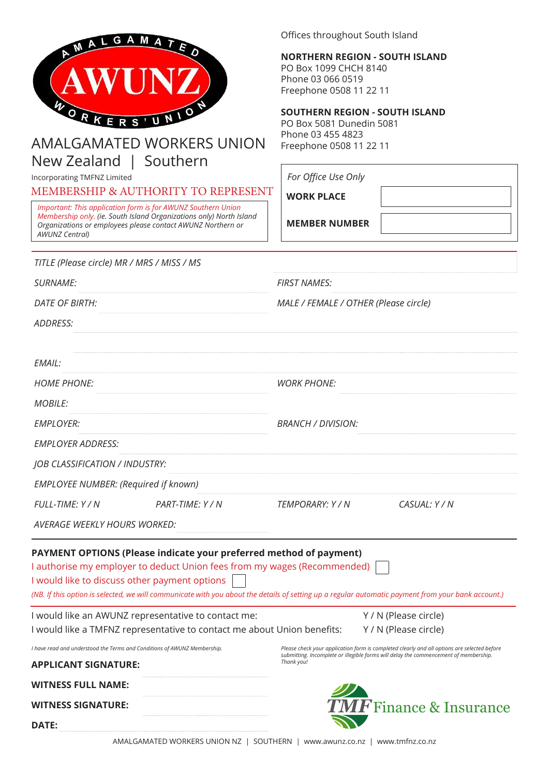

## AMALGAMATED WORKERS UNION New Zealand | Southern

Incorporating TMFNZ Limited

MEMBERSHIP & AUTHORITY TO REPRESENT

*Important: This application form is for AWUNZ Southern Union Membership only. (ie. South Island Organizations only) North Island Organizations or employees please contact AWUNZ Northern or AWUNZ Central)*

Offices throughout South Island

**NORTHERN REGION - SOUTH ISLAND** PO Box 1099 CHCH 8140 Phone 03 066 0519 Freephone 0508 11 22 11

## **SOUTHERN REGION - SOUTH ISLAND**

PO Box 5081 Dunedin 5081 Phone 03 455 4823 Freephone 0508 11 22 11

| For Office Use Only |  |
|---------------------|--|
|---------------------|--|

**WORK PLACE**

**MEMBER NUMBER**

| TITLE (Please circle) MR / MRS / MISS / MS                                                       |                                                                         |                                                                                                                                                                                                                                |  |
|--------------------------------------------------------------------------------------------------|-------------------------------------------------------------------------|--------------------------------------------------------------------------------------------------------------------------------------------------------------------------------------------------------------------------------|--|
| <i><b>SURNAME:</b></i>                                                                           |                                                                         | <b>FIRST NAMES:</b>                                                                                                                                                                                                            |  |
| <i>DATE OF BIRTH:</i>                                                                            |                                                                         | MALE / FEMALE / OTHER (Please circle)                                                                                                                                                                                          |  |
| <b>ADDRESS:</b>                                                                                  |                                                                         |                                                                                                                                                                                                                                |  |
| EMAIL:                                                                                           |                                                                         |                                                                                                                                                                                                                                |  |
| <b>HOME PHONE:</b>                                                                               |                                                                         | <b>WORK PHONE:</b>                                                                                                                                                                                                             |  |
| <i>MOBILE:</i>                                                                                   |                                                                         |                                                                                                                                                                                                                                |  |
| <b>EMPLOYER:</b>                                                                                 |                                                                         | BRANCH / DIVISION:                                                                                                                                                                                                             |  |
| <b>EMPLOYER ADDRESS:</b>                                                                         |                                                                         |                                                                                                                                                                                                                                |  |
| <b>JOB CLASSIFICATION / INDUSTRY:</b>                                                            |                                                                         |                                                                                                                                                                                                                                |  |
| <b>EMPLOYEE NUMBER: (Required if known)</b>                                                      |                                                                         |                                                                                                                                                                                                                                |  |
| FULL-TIME: Y / N                                                                                 | PART-TIME: Y / N                                                        | <i>TEMPORARY: Y / N</i><br>CASUAL: Y / N                                                                                                                                                                                       |  |
| <b>AVERAGE WEEKLY HOURS WORKED:</b>                                                              |                                                                         |                                                                                                                                                                                                                                |  |
| I would like to discuss other payment options                                                    | PAYMENT OPTIONS (Please indicate your preferred method of payment)      | I authorise my employer to deduct Union fees from my wages (Recommended)<br>(NB. If this option is selected, we will communicate with you about the details of setting up a regular automatic payment from your bank account.) |  |
|                                                                                                  | I would like an AWUNZ representative to contact me:                     | Y / N (Please circle)                                                                                                                                                                                                          |  |
|                                                                                                  | I would like a TMFNZ representative to contact me about Union benefits: | Y / N (Please circle)                                                                                                                                                                                                          |  |
| I have read and understood the Terms and Conditions of AWUNZ Membership.<br>APPLICANT SIGNATURE: |                                                                         | Please check your application form is completed clearly and all options are selected before<br>submitting. Incomplete or illegible forms will delay the commencement of membership.<br>Thank you!                              |  |
| WITNESS FULL NAME:                                                                               |                                                                         |                                                                                                                                                                                                                                |  |
| WITNESS SIGNATURE:                                                                               |                                                                         | <i>F</i> Finance & Insurance                                                                                                                                                                                                   |  |
| <b>DATE:</b>                                                                                     |                                                                         |                                                                                                                                                                                                                                |  |